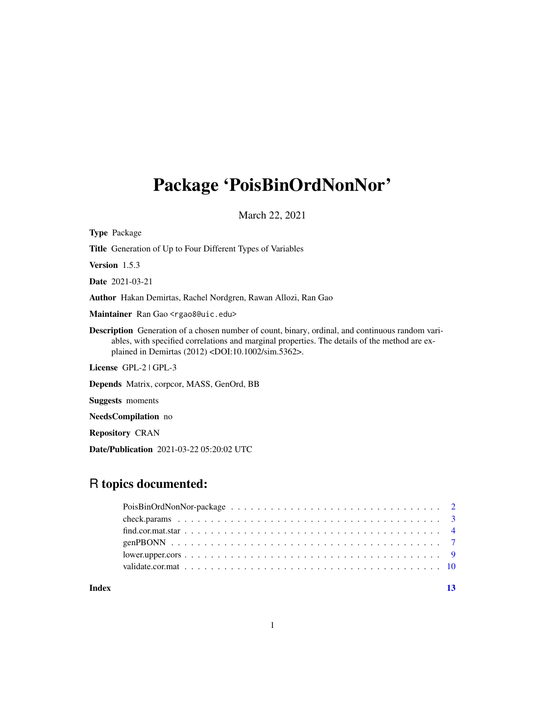# Package 'PoisBinOrdNonNor'

March 22, 2021

| <b>Type Package</b>                                                                                                                                                                                                                                                      |
|--------------------------------------------------------------------------------------------------------------------------------------------------------------------------------------------------------------------------------------------------------------------------|
| <b>Title</b> Generation of Up to Four Different Types of Variables                                                                                                                                                                                                       |
| <b>Version</b> $1.5.3$                                                                                                                                                                                                                                                   |
| <b>Date</b> 2021-03-21                                                                                                                                                                                                                                                   |
| <b>Author</b> Hakan Demirtas, Rachel Nordgren, Rawan Allozi, Ran Gao                                                                                                                                                                                                     |
| Maintainer Ran Gao <rgao8@uic.edu></rgao8@uic.edu>                                                                                                                                                                                                                       |
| Description Generation of a chosen number of count, binary, ordinal, and continuous random vari-<br>ables, with specified correlations and marginal properties. The details of the method are ex-<br>plained in Demirtas (2012) <doi:10.1002 sim.5362="">.</doi:10.1002> |
| License $GPL-2$ $GPL-3$                                                                                                                                                                                                                                                  |
| <b>Depends</b> Matrix, corpoor, MASS, GenOrd, BB                                                                                                                                                                                                                         |
| <b>Suggests</b> moments                                                                                                                                                                                                                                                  |
| NeedsCompilation no                                                                                                                                                                                                                                                      |
| <b>Repository CRAN</b>                                                                                                                                                                                                                                                   |

Date/Publication 2021-03-22 05:20:02 UTC

# R topics documented:

| $lower.upper. cores \dots \dots \dots \dots \dots \dots \dots \dots \dots \dots \dots \dots \dots \dots \dots \dots$ |  |
|----------------------------------------------------------------------------------------------------------------------|--|
|                                                                                                                      |  |
|                                                                                                                      |  |

**Index** [13](#page-12-0)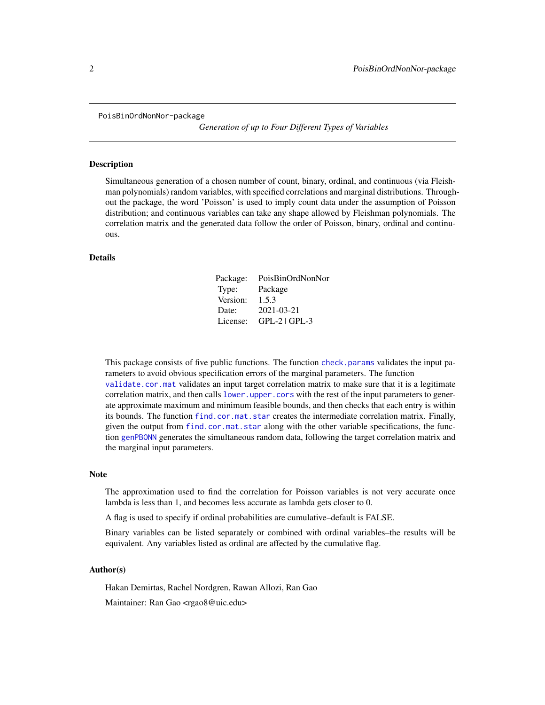<span id="page-1-0"></span>PoisBinOrdNonNor-package

*Generation of up to Four Different Types of Variables*

#### Description

Simultaneous generation of a chosen number of count, binary, ordinal, and continuous (via Fleishman polynomials) random variables, with specified correlations and marginal distributions. Throughout the package, the word 'Poisson' is used to imply count data under the assumption of Poisson distribution; and continuous variables can take any shape allowed by Fleishman polynomials. The correlation matrix and the generated data follow the order of Poisson, binary, ordinal and continuous.

#### Details

| Package: | PoisBinOrdNonNor |
|----------|------------------|
| Type:    | Package          |
| Version: | 1.5.3            |
| Date:    | 2021-03-21       |
| License: | $GPL-2$ $GPL-3$  |

This package consists of five public functions. The function [check.params](#page-2-1) validates the input parameters to avoid obvious specification errors of the marginal parameters. The function [validate.cor.mat](#page-9-1) validates an input target correlation matrix to make sure that it is a legitimate correlation matrix, and then calls [lower.upper.cors](#page-8-1) with the rest of the input parameters to generate approximate maximum and minimum feasible bounds, and then checks that each entry is within its bounds. The function [find.cor.mat.star](#page-3-1) creates the intermediate correlation matrix. Finally, given the output from [find.cor.mat.star](#page-3-1) along with the other variable specifications, the function [genPBONN](#page-6-1) generates the simultaneous random data, following the target correlation matrix and the marginal input parameters.

#### Note

The approximation used to find the correlation for Poisson variables is not very accurate once lambda is less than 1, and becomes less accurate as lambda gets closer to 0.

A flag is used to specify if ordinal probabilities are cumulative–default is FALSE.

Binary variables can be listed separately or combined with ordinal variables–the results will be equivalent. Any variables listed as ordinal are affected by the cumulative flag.

#### Author(s)

Hakan Demirtas, Rachel Nordgren, Rawan Allozi, Ran Gao Maintainer: Ran Gao <rgao8@uic.edu>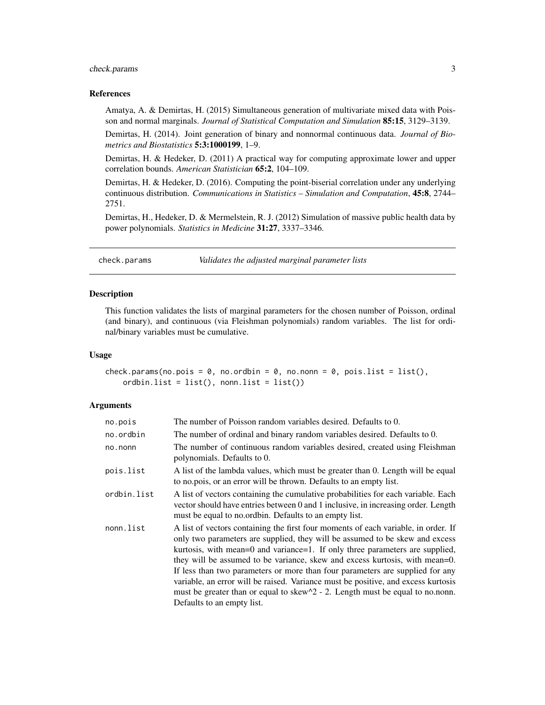# <span id="page-2-0"></span>check.params 3

#### References

Amatya, A. & Demirtas, H. (2015) Simultaneous generation of multivariate mixed data with Poisson and normal marginals. *Journal of Statistical Computation and Simulation* 85:15, 3129–3139.

Demirtas, H. (2014). Joint generation of binary and nonnormal continuous data. *Journal of Biometrics and Biostatistics* 5:3:1000199, 1–9.

Demirtas, H. & Hedeker, D. (2011) A practical way for computing approximate lower and upper correlation bounds. *American Statistician* 65:2, 104–109.

Demirtas, H. & Hedeker, D. (2016). Computing the point-biserial correlation under any underlying continuous distribution. *Communications in Statistics – Simulation and Computation*, 45:8, 2744– 2751.

Demirtas, H., Hedeker, D. & Mermelstein, R. J. (2012) Simulation of massive public health data by power polynomials. *Statistics in Medicine* 31:27, 3337–3346.

<span id="page-2-1"></span>check.params *Validates the adjusted marginal parameter lists*

#### Description

This function validates the lists of marginal parameters for the chosen number of Poisson, ordinal (and binary), and continuous (via Fleishman polynomials) random variables. The list for ordinal/binary variables must be cumulative.

#### Usage

```
check.params(no.pois = 0, no.ordbin = 0, no.nonn = 0, pois.list = list(),
   ordbin.list = list(), nonn.list = list())
```
#### Arguments

| no.pois     | The number of Poisson random variables desired. Defaults to 0.                                                                                                                                                                                                                                                                                                                                                                                                                                                                                                                                                                  |
|-------------|---------------------------------------------------------------------------------------------------------------------------------------------------------------------------------------------------------------------------------------------------------------------------------------------------------------------------------------------------------------------------------------------------------------------------------------------------------------------------------------------------------------------------------------------------------------------------------------------------------------------------------|
| no.ordbin   | The number of ordinal and binary random variables desired. Defaults to 0.                                                                                                                                                                                                                                                                                                                                                                                                                                                                                                                                                       |
| no.nonn     | The number of continuous random variables desired, created using Fleishman<br>polynomials. Defaults to 0.                                                                                                                                                                                                                                                                                                                                                                                                                                                                                                                       |
| pois.list   | A list of the lambda values, which must be greater than 0. Length will be equal<br>to no.pois, or an error will be thrown. Defaults to an empty list.                                                                                                                                                                                                                                                                                                                                                                                                                                                                           |
| ordbin.list | A list of vectors containing the cumulative probabilities for each variable. Each<br>vector should have entries between 0 and 1 inclusive, in increasing order. Length<br>must be equal to no.ordbin. Defaults to an empty list.                                                                                                                                                                                                                                                                                                                                                                                                |
| nonn.list   | A list of vectors containing the first four moments of each variable, in order. If<br>only two parameters are supplied, they will be assumed to be skew and excess<br>kurtosis, with mean=0 and variance=1. If only three parameters are supplied,<br>they will be assumed to be variance, skew and excess kurtosis, with mean=0.<br>If less than two parameters or more than four parameters are supplied for any<br>variable, an error will be raised. Variance must be positive, and excess kurtosis<br>must be greater than or equal to skew $\gamma$ 2 - 2. Length must be equal to no.nonn.<br>Defaults to an empty list. |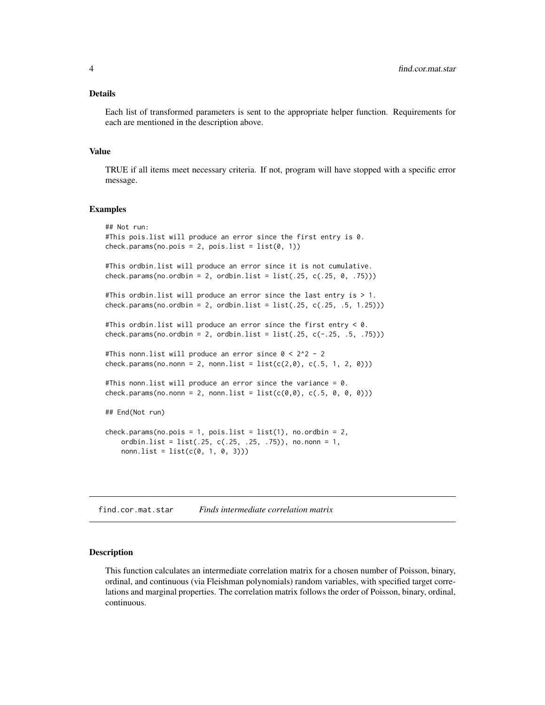# <span id="page-3-0"></span>Details

Each list of transformed parameters is sent to the appropriate helper function. Requirements for each are mentioned in the description above.

# Value

TRUE if all items meet necessary criteria. If not, program will have stopped with a specific error message.

#### Examples

```
## Not run:
#This pois.list will produce an error since the first entry is 0.
check.params(no.pois = 2, pois_list = list(0, 1))#This ordbin.list will produce an error since it is not cumulative.
check.params(no.ordbin = 2, ordbin.list = list(.25, c(.25, 0, .75)))
#This ordbin.list will produce an error since the last entry is > 1.
check.params(no.ordbin = 2, ordbin.list = list(.25, c(.25, .5, 1.25)))
#This ordbin.list will produce an error since the first entry < 0.
check.params(no.ordbin = 2, ordbin.list = list(.25, c(-.25, .5, .75)))#This nonn.list will produce an error since 0 < 2^2 - 2
check.params(no.nonn = 2, nonn.list = list(c(2,0), c(.5, 1, 2, 0)))
#This nonn.list will produce an error since the variance = 0.
check.params(no.nonn = 2, nonn.list = list(c(0,0), c(.5, 0, 0, 0)))## End(Not run)
check.params(no.pois = 1, pois.list = list(1), no.ordbin = 2,ordbin.list = list(.25, c(.25, .25, .75)), no.nonn = 1,
   nonn.list = list(c(0, 1, 0, 3)))
```
<span id="page-3-1"></span>find.cor.mat.star *Finds intermediate correlation matrix*

# Description

This function calculates an intermediate correlation matrix for a chosen number of Poisson, binary, ordinal, and continuous (via Fleishman polynomials) random variables, with specified target correlations and marginal properties. The correlation matrix follows the order of Poisson, binary, ordinal, continuous.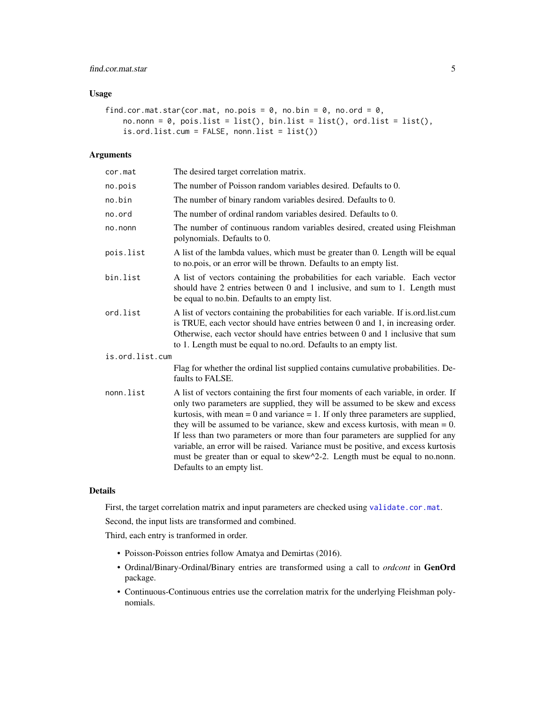# <span id="page-4-0"></span>find.cor.mat.star 5

# Usage

```
find.cor.mat.star(cor.mat, no.pois = 0, no.bin = 0, no.ord = 0,
   no.non = 0, pois.list = list(), bin.list = list(), ord.list = list(),is.ord.list.cum = FALSE, nonn.list = list())
```
#### Arguments

| cor.mat         | The desired target correlation matrix.                                                                                                                                                                                                                                                                                                                                                                                                                                                                                                                                                                                             |
|-----------------|------------------------------------------------------------------------------------------------------------------------------------------------------------------------------------------------------------------------------------------------------------------------------------------------------------------------------------------------------------------------------------------------------------------------------------------------------------------------------------------------------------------------------------------------------------------------------------------------------------------------------------|
| no.pois         | The number of Poisson random variables desired. Defaults to 0.                                                                                                                                                                                                                                                                                                                                                                                                                                                                                                                                                                     |
| no.bin          | The number of binary random variables desired. Defaults to 0.                                                                                                                                                                                                                                                                                                                                                                                                                                                                                                                                                                      |
| no.ord          | The number of ordinal random variables desired. Defaults to 0.                                                                                                                                                                                                                                                                                                                                                                                                                                                                                                                                                                     |
| no.nonn         | The number of continuous random variables desired, created using Fleishman<br>polynomials. Defaults to 0.                                                                                                                                                                                                                                                                                                                                                                                                                                                                                                                          |
| pois.list       | A list of the lambda values, which must be greater than 0. Length will be equal<br>to no.pois, or an error will be thrown. Defaults to an empty list.                                                                                                                                                                                                                                                                                                                                                                                                                                                                              |
| bin.list        | A list of vectors containing the probabilities for each variable. Each vector<br>should have 2 entries between 0 and 1 inclusive, and sum to 1. Length must<br>be equal to no.bin. Defaults to an empty list.                                                                                                                                                                                                                                                                                                                                                                                                                      |
| ord.list        | A list of vectors containing the probabilities for each variable. If is ord list cum<br>is TRUE, each vector should have entries between 0 and 1, in increasing order.<br>Otherwise, each vector should have entries between 0 and 1 inclusive that sum<br>to 1. Length must be equal to no.ord. Defaults to an empty list.                                                                                                                                                                                                                                                                                                        |
| is.ord.list.cum |                                                                                                                                                                                                                                                                                                                                                                                                                                                                                                                                                                                                                                    |
|                 | Flag for whether the ordinal list supplied contains cumulative probabilities. De-<br>faults to FALSE.                                                                                                                                                                                                                                                                                                                                                                                                                                                                                                                              |
| nonn.list       | A list of vectors containing the first four moments of each variable, in order. If<br>only two parameters are supplied, they will be assumed to be skew and excess<br>kurtosis, with mean $= 0$ and variance $= 1$ . If only three parameters are supplied,<br>they will be assumed to be variance, skew and excess kurtosis, with mean $= 0$ .<br>If less than two parameters or more than four parameters are supplied for any<br>variable, an error will be raised. Variance must be positive, and excess kurtosis<br>must be greater than or equal to skew^2-2. Length must be equal to no.nonn.<br>Defaults to an empty list. |
|                 |                                                                                                                                                                                                                                                                                                                                                                                                                                                                                                                                                                                                                                    |

# Details

First, the target correlation matrix and input parameters are checked using [validate.cor.mat](#page-9-1).

Second, the input lists are transformed and combined.

Third, each entry is tranformed in order.

- Poisson-Poisson entries follow Amatya and Demirtas (2016).
- Ordinal/Binary-Ordinal/Binary entries are transformed using a call to *ordcont* in GenOrd package.
- Continuous-Continuous entries use the correlation matrix for the underlying Fleishman polynomials.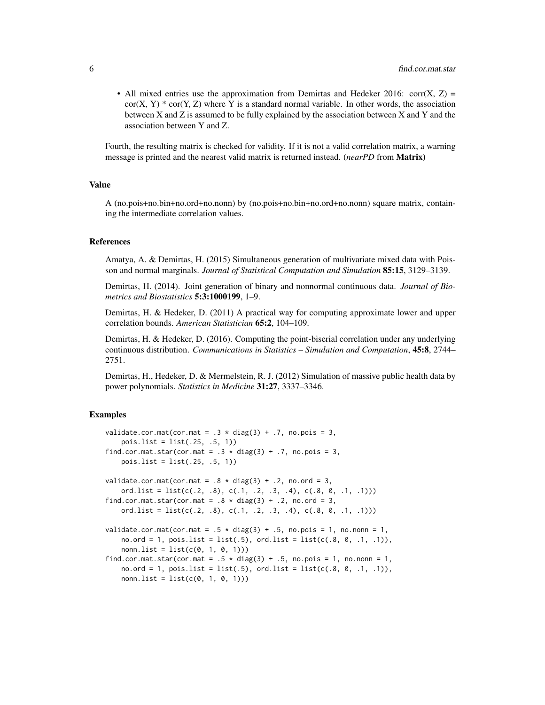• All mixed entries use the approximation from Demirtas and Hedeker 2016: corr(X, Z) =  $cor(X, Y) * cor(Y, Z)$  where Y is a standard normal variable. In other words, the association between X and Z is assumed to be fully explained by the association between X and Y and the association between Y and Z.

Fourth, the resulting matrix is checked for validity. If it is not a valid correlation matrix, a warning message is printed and the nearest valid matrix is returned instead. (*nearPD* from Matrix)

#### Value

A (no.pois+no.bin+no.ord+no.nonn) by (no.pois+no.bin+no.ord+no.nonn) square matrix, containing the intermediate correlation values.

#### References

Amatya, A. & Demirtas, H. (2015) Simultaneous generation of multivariate mixed data with Poisson and normal marginals. *Journal of Statistical Computation and Simulation* 85:15, 3129–3139.

Demirtas, H. (2014). Joint generation of binary and nonnormal continuous data. *Journal of Biometrics and Biostatistics* 5:3:1000199, 1–9.

Demirtas, H. & Hedeker, D. (2011) A practical way for computing approximate lower and upper correlation bounds. *American Statistician* 65:2, 104–109.

Demirtas, H. & Hedeker, D. (2016). Computing the point-biserial correlation under any underlying continuous distribution. *Communications in Statistics – Simulation and Computation*, 45:8, 2744– 2751.

Demirtas, H., Hedeker, D. & Mermelstein, R. J. (2012) Simulation of massive public health data by power polynomials. *Statistics in Medicine* 31:27, 3337–3346.

# Examples

```
validate.cor.mat(cor.mat = .3 * diag(3) + .7, no.pois = 3,
   pois.list = list(.25, .5, 1))
find.cor.mat.star(cor.mat = .3 \times diag(3) + .7, no.pois = 3,
   pois.list = list(.25, .5, 1))
validate.cor.mat(cor.mat = .8 \times diag(3) + .2, no.ord = 3,
   ord.list = list(c(.2, .8), c(.1, .2, .3, .4), c(.8, 0, .1, .1)))
find.cor.mat.star(cor.mat = .8 \times diag(3) + .2, no.ord = 3,
   ord.list = list(c(.2, .8), c(.1, .2, .3, .4), c(.8, 0, .1, .1)))
validate.cor.mat(cor.mat = .5 * diag(3) + .5, no.pois = 1, no.nonn = 1,
   no.ord = 1, pos. list = list(.5), ord. list = list(c(.8, 0, .1, .1)),nonn. list = list(c(0, 1, 0, 1))
find.cor.mat.star(cor.mat = .5 * diag(3) + .5, no.pois = 1, no.nonn = 1,
   no.ord = 1, pois.list = list(.5), ord.list = list(c(.8, 0, .1, .1)),nonn. list = list(c(0, 1, 0, 1)))
```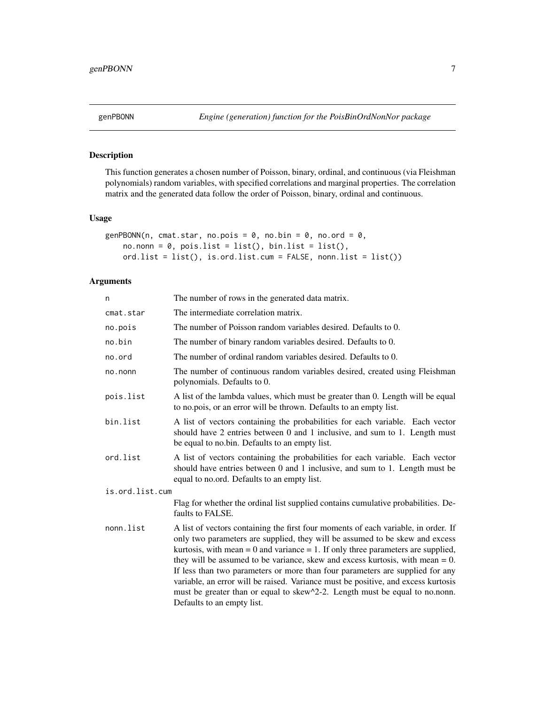<span id="page-6-1"></span><span id="page-6-0"></span>

# Description

This function generates a chosen number of Poisson, binary, ordinal, and continuous (via Fleishman polynomials) random variables, with specified correlations and marginal properties. The correlation matrix and the generated data follow the order of Poisson, binary, ordinal and continuous.

# Usage

```
genPBONN(n, cmat.star, no.pois = 0, no.bin = 0, no.ord = 0,
   no.nonn = 0, pois.list = list(), bin.list = list(),
   ord.list = list(), is.ord.list.cum = FALSE, nonn.list = list())
```
#### Arguments

| n               | The number of rows in the generated data matrix.                                                                                                                                                                                                                                                                                                                                                                                                                                                                                                                                                                                   |
|-----------------|------------------------------------------------------------------------------------------------------------------------------------------------------------------------------------------------------------------------------------------------------------------------------------------------------------------------------------------------------------------------------------------------------------------------------------------------------------------------------------------------------------------------------------------------------------------------------------------------------------------------------------|
| cmat.star       | The intermediate correlation matrix.                                                                                                                                                                                                                                                                                                                                                                                                                                                                                                                                                                                               |
| no.pois         | The number of Poisson random variables desired. Defaults to 0.                                                                                                                                                                                                                                                                                                                                                                                                                                                                                                                                                                     |
| no.bin          | The number of binary random variables desired. Defaults to 0.                                                                                                                                                                                                                                                                                                                                                                                                                                                                                                                                                                      |
| no.ord          | The number of ordinal random variables desired. Defaults to 0.                                                                                                                                                                                                                                                                                                                                                                                                                                                                                                                                                                     |
| no.nonn         | The number of continuous random variables desired, created using Fleishman<br>polynomials. Defaults to 0.                                                                                                                                                                                                                                                                                                                                                                                                                                                                                                                          |
| pois.list       | A list of the lambda values, which must be greater than 0. Length will be equal<br>to no.pois, or an error will be thrown. Defaults to an empty list.                                                                                                                                                                                                                                                                                                                                                                                                                                                                              |
| bin.list        | A list of vectors containing the probabilities for each variable. Each vector<br>should have 2 entries between 0 and 1 inclusive, and sum to 1. Length must<br>be equal to no.bin. Defaults to an empty list.                                                                                                                                                                                                                                                                                                                                                                                                                      |
| ord.list        | A list of vectors containing the probabilities for each variable. Each vector<br>should have entries between 0 and 1 inclusive, and sum to 1. Length must be<br>equal to no.ord. Defaults to an empty list.                                                                                                                                                                                                                                                                                                                                                                                                                        |
| is.ord.list.cum |                                                                                                                                                                                                                                                                                                                                                                                                                                                                                                                                                                                                                                    |
|                 | Flag for whether the ordinal list supplied contains cumulative probabilities. De-<br>faults to FALSE.                                                                                                                                                                                                                                                                                                                                                                                                                                                                                                                              |
| nonn.list       | A list of vectors containing the first four moments of each variable, in order. If<br>only two parameters are supplied, they will be assumed to be skew and excess<br>kurtosis, with mean $= 0$ and variance $= 1$ . If only three parameters are supplied,<br>they will be assumed to be variance, skew and excess kurtosis, with mean $= 0$ .<br>If less than two parameters or more than four parameters are supplied for any<br>variable, an error will be raised. Variance must be positive, and excess kurtosis<br>must be greater than or equal to skew^2-2. Length must be equal to no.nonn.<br>Defaults to an empty list. |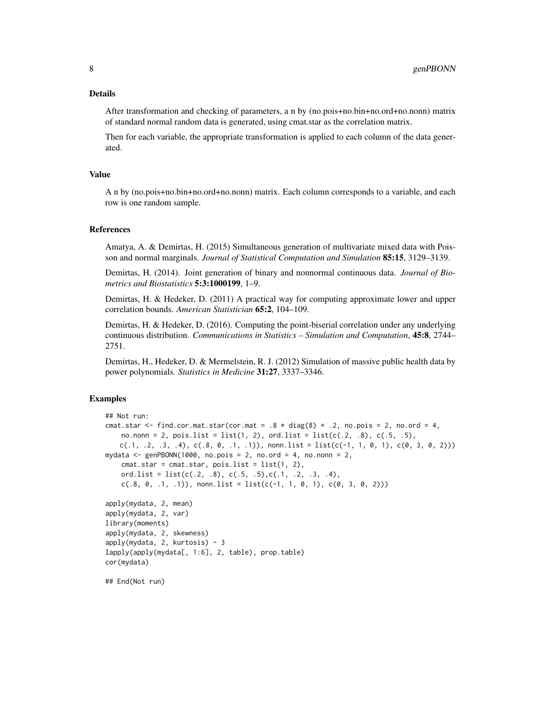After transformation and checking of parameters, a n by (no.pois+no.bin+no.ord+no.nonn) matrix of standard normal random data is generated, using cmat.star as the correlation matrix.

Then for each variable, the appropriate transformation is applied to each column of the data generated.

#### Value

A n by (no.pois+no.bin+no.ord+no.nonn) matrix. Each column corresponds to a variable, and each row is one random sample.

#### References

Amatya, A. & Demirtas, H. (2015) Simultaneous generation of multivariate mixed data with Poisson and normal marginals. *Journal of Statistical Computation and Simulation* 85:15, 3129–3139.

Demirtas, H. (2014). Joint generation of binary and nonnormal continuous data. *Journal of Biometrics and Biostatistics* 5:3:1000199, 1–9.

Demirtas, H. & Hedeker, D. (2011) A practical way for computing approximate lower and upper correlation bounds. *American Statistician* 65:2, 104–109.

Demirtas, H. & Hedeker, D. (2016). Computing the point-biserial correlation under any underlying continuous distribution. *Communications in Statistics – Simulation and Computation*, 45:8, 2744– 2751.

Demirtas, H., Hedeker, D. & Mermelstein, R. J. (2012) Simulation of massive public health data by power polynomials. *Statistics in Medicine* 31:27, 3337–3346.

#### Examples

```
## Not run:
cmat.star <- find.cor.mat.star(cor.mat = .8 \times diag(8) + .2, no.pois = 2, no.ord = 4,
   no.nonn = 2, pois.list = list(1, 2), ord.list = list(c(.2, .8), c(.5, .5),
   c(.1, .2, .3, .4), c(.8, 0, .1, .1)), nonn.list = list(c(-1, 1, 0, 1), c(0, 3, 0, 2)))
mydata <- genPBONN(1000, no.pois = 2, no.ord = 4, no.nonn = 2,
    cmat.star = cmat.star, pois.list = list(1, 2),
    ord.list = list(c(.2, .8), c(.5, .5), c(.1, .2, .3, .4),c(.8, 0, .1, .1)), nonn.list = list(c(-1, 1, 0, 1), c(0, 3, 0, 2)))
apply(mydata, 2, mean)
apply(mydata, 2, var)
library(moments)
apply(mydata, 2, skewness)
apply(mydata, 2, kurtosis) - 3
lapply(apply(mydata[, 1:6], 2, table), prop.table)
cor(mydata)
## End(Not run)
```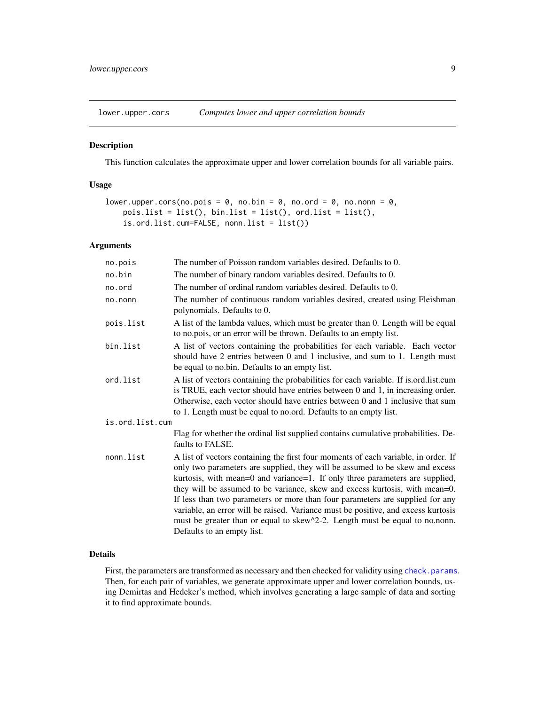<span id="page-8-1"></span><span id="page-8-0"></span>lower.upper.cors *Computes lower and upper correlation bounds*

# Description

This function calculates the approximate upper and lower correlation bounds for all variable pairs.

#### Usage

```
lower.upper.cors(no.pois = \theta, no.bin = \theta, no.ord = \theta, no.nonn = \theta,
    pois.list = list(), bin.list = list(), ord.list = list(),
    is.ord.list.cum=FALSE, nonn.list = list())
```
## Arguments

| no.pois         | The number of Poisson random variables desired. Defaults to 0.                                                                                                                                                                                                                                                                                                                                                                                                                                                                                                                                                       |
|-----------------|----------------------------------------------------------------------------------------------------------------------------------------------------------------------------------------------------------------------------------------------------------------------------------------------------------------------------------------------------------------------------------------------------------------------------------------------------------------------------------------------------------------------------------------------------------------------------------------------------------------------|
| no.bin          | The number of binary random variables desired. Defaults to 0.                                                                                                                                                                                                                                                                                                                                                                                                                                                                                                                                                        |
| no.ord          | The number of ordinal random variables desired. Defaults to 0.                                                                                                                                                                                                                                                                                                                                                                                                                                                                                                                                                       |
| no.nonn         | The number of continuous random variables desired, created using Fleishman<br>polynomials. Defaults to 0.                                                                                                                                                                                                                                                                                                                                                                                                                                                                                                            |
| pois.list       | A list of the lambda values, which must be greater than 0. Length will be equal<br>to no.pois, or an error will be thrown. Defaults to an empty list.                                                                                                                                                                                                                                                                                                                                                                                                                                                                |
| bin.list        | A list of vectors containing the probabilities for each variable. Each vector<br>should have 2 entries between 0 and 1 inclusive, and sum to 1. Length must<br>be equal to no.bin. Defaults to an empty list.                                                                                                                                                                                                                                                                                                                                                                                                        |
| ord.list        | A list of vectors containing the probabilities for each variable. If is ord list cum<br>is TRUE, each vector should have entries between 0 and 1, in increasing order.<br>Otherwise, each vector should have entries between 0 and 1 inclusive that sum<br>to 1. Length must be equal to no.ord. Defaults to an empty list.                                                                                                                                                                                                                                                                                          |
| is.ord.list.cum |                                                                                                                                                                                                                                                                                                                                                                                                                                                                                                                                                                                                                      |
|                 | Flag for whether the ordinal list supplied contains cumulative probabilities. De-<br>faults to FALSE.                                                                                                                                                                                                                                                                                                                                                                                                                                                                                                                |
| nonn.list       | A list of vectors containing the first four moments of each variable, in order. If<br>only two parameters are supplied, they will be assumed to be skew and excess<br>kurtosis, with mean=0 and variance=1. If only three parameters are supplied,<br>they will be assumed to be variance, skew and excess kurtosis, with mean=0.<br>If less than two parameters or more than four parameters are supplied for any<br>variable, an error will be raised. Variance must be positive, and excess kurtosis<br>must be greater than or equal to skew^2-2. Length must be equal to no.nonn.<br>Defaults to an empty list. |

# Details

First, the parameters are transformed as necessary and then checked for validity using [check.params](#page-2-1). Then, for each pair of variables, we generate approximate upper and lower correlation bounds, using Demirtas and Hedeker's method, which involves generating a large sample of data and sorting it to find approximate bounds.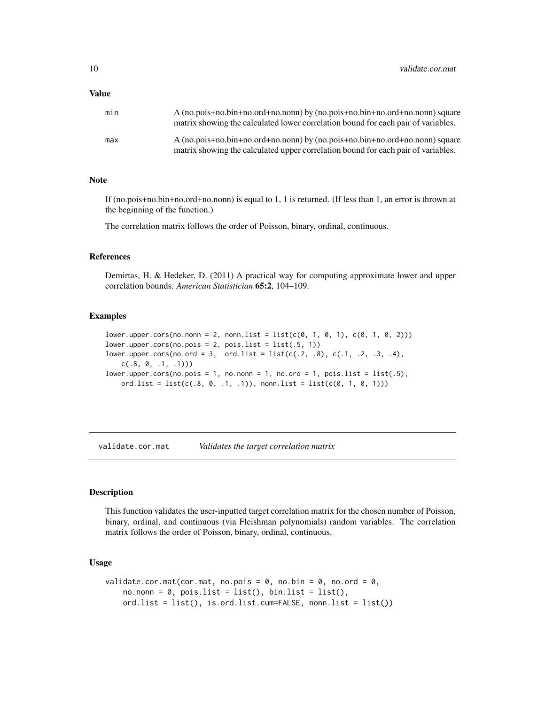#### <span id="page-9-0"></span>Value

| min | A (no.pois+no.bin+no.ord+no.nonn) by (no.pois+no.bin+no.ord+no.nonn) square<br>matrix showing the calculated lower correlation bound for each pair of variables. |
|-----|------------------------------------------------------------------------------------------------------------------------------------------------------------------|
| max | A (no.pois+no.bin+no.ord+no.nonn) by (no.pois+no.bin+no.ord+no.nonn) square<br>matrix showing the calculated upper correlation bound for each pair of variables. |

#### Note

If (no.pois+no.bin+no.ord+no.nonn) is equal to 1, 1 is returned. (If less than 1, an error is thrown at the beginning of the function.)

The correlation matrix follows the order of Poisson, binary, ordinal, continuous.

#### References

Demirtas, H. & Hedeker, D. (2011) A practical way for computing approximate lower and upper correlation bounds. *American Statistician* 65:2, 104–109.

#### Examples

```
lower.upper.cors(no.nonn = 2, non.n.list = list(c(0, 1, 0, 1), c(0, 1, 0, 2)))lower.upper.cors(no.pois = 2, pois.list = list(.5, 1))lower.upper.cors(no.ord = 3, ord.list = list(c(.2, .8), c(.1, .2, .3, .4),
   c(.8, 0, .1, .1))lower.upper.cors(no.pois = 1, no.nonn = 1, no.ord = 1, pois.list = list(.5),
   ord.list = list(c(.8, 0, .1, .1)), nonn.list = list(c(0, 1, 0, 1)))
```
<span id="page-9-1"></span>validate.cor.mat *Validates the target correlation matrix*

#### Description

This function validates the user-inputted target correlation matrix for the chosen number of Poisson, binary, ordinal, and continuous (via Fleishman polynomials) random variables. The correlation matrix follows the order of Poisson, binary, ordinal, continuous.

# Usage

```
validate.cor.mat(cor.mat, no.pois = 0, no.bin = 0, no.ord = 0,
   no.nonn = 0, pois.list = list(), bin.list = list(),ord.list = list(), is.ord.list.cum=FALSE, nonn.list = list())
```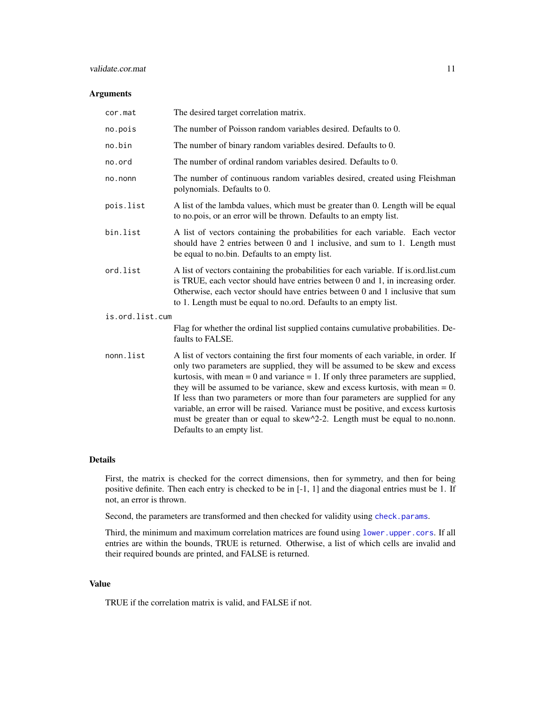# <span id="page-10-0"></span>validate.cor.mat 11

# Arguments

| cor.mat         | The desired target correlation matrix.                                                                                                                                                                                                                                                                                                                                                                                                                                                                                                                                                                                             |
|-----------------|------------------------------------------------------------------------------------------------------------------------------------------------------------------------------------------------------------------------------------------------------------------------------------------------------------------------------------------------------------------------------------------------------------------------------------------------------------------------------------------------------------------------------------------------------------------------------------------------------------------------------------|
| no.pois         | The number of Poisson random variables desired. Defaults to 0.                                                                                                                                                                                                                                                                                                                                                                                                                                                                                                                                                                     |
| no.bin          | The number of binary random variables desired. Defaults to 0.                                                                                                                                                                                                                                                                                                                                                                                                                                                                                                                                                                      |
| no.ord          | The number of ordinal random variables desired. Defaults to 0.                                                                                                                                                                                                                                                                                                                                                                                                                                                                                                                                                                     |
| no.nonn         | The number of continuous random variables desired, created using Fleishman<br>polynomials. Defaults to 0.                                                                                                                                                                                                                                                                                                                                                                                                                                                                                                                          |
| pois.list       | A list of the lambda values, which must be greater than 0. Length will be equal<br>to no.pois, or an error will be thrown. Defaults to an empty list.                                                                                                                                                                                                                                                                                                                                                                                                                                                                              |
| bin.list        | A list of vectors containing the probabilities for each variable. Each vector<br>should have 2 entries between 0 and 1 inclusive, and sum to 1. Length must<br>be equal to no.bin. Defaults to an empty list.                                                                                                                                                                                                                                                                                                                                                                                                                      |
| ord.list        | A list of vectors containing the probabilities for each variable. If is ord list cum<br>is TRUE, each vector should have entries between 0 and 1, in increasing order.<br>Otherwise, each vector should have entries between 0 and 1 inclusive that sum<br>to 1. Length must be equal to no.ord. Defaults to an empty list.                                                                                                                                                                                                                                                                                                        |
| is.ord.list.cum |                                                                                                                                                                                                                                                                                                                                                                                                                                                                                                                                                                                                                                    |
|                 | Flag for whether the ordinal list supplied contains cumulative probabilities. De-<br>faults to FALSE.                                                                                                                                                                                                                                                                                                                                                                                                                                                                                                                              |
| nonn.list       | A list of vectors containing the first four moments of each variable, in order. If<br>only two parameters are supplied, they will be assumed to be skew and excess<br>kurtosis, with mean $= 0$ and variance $= 1$ . If only three parameters are supplied,<br>they will be assumed to be variance, skew and excess kurtosis, with mean $= 0$ .<br>If less than two parameters or more than four parameters are supplied for any<br>variable, an error will be raised. Variance must be positive, and excess kurtosis<br>must be greater than or equal to skew^2-2. Length must be equal to no.nonn.<br>Defaults to an empty list. |

# Details

First, the matrix is checked for the correct dimensions, then for symmetry, and then for being positive definite. Then each entry is checked to be in [-1, 1] and the diagonal entries must be 1. If not, an error is thrown.

Second, the parameters are transformed and then checked for validity using [check.params](#page-2-1).

Third, the minimum and maximum correlation matrices are found using [lower.upper.cors](#page-8-1). If all entries are within the bounds, TRUE is returned. Otherwise, a list of which cells are invalid and their required bounds are printed, and FALSE is returned.

# Value

TRUE if the correlation matrix is valid, and FALSE if not.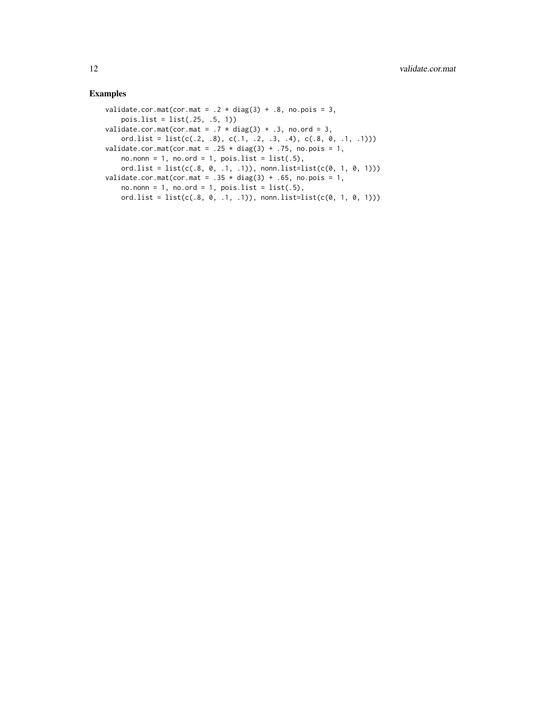# Examples

```
validate.cor.mat(cor.mat = .2 * diag(3) + .8, no.pois = 3,
   pois.list = list(.25, .5, 1))
validate.cor.mat(cor.mat = .7 * diag(3) + .3, no.ord = 3,
   ord.list = list(c(.2, .8), c(.1, .2, .3, .4), c(.8, 0, .1, .1)))
validate.cor.mat(cor.mat = .25 * diag(3) + .75, no.pois = 1,
   no.non = 1, no.ord = 1, pois.list = list(.5),ord.list = list(c(.8, 0, .1, .1)), nonn.list=list(c(0, 1, 0, 1)))
validate.cor.mat(cor.mat = .35 \times diag(3) + .65, no.pois = 1,
   no.nonn = 1, no.ord = 1, pois.list = list(.5),
   ord.list = list(c(.8, 0, .1, .1)), nonn.list=list(c(0, 1, 0, 1)))
```